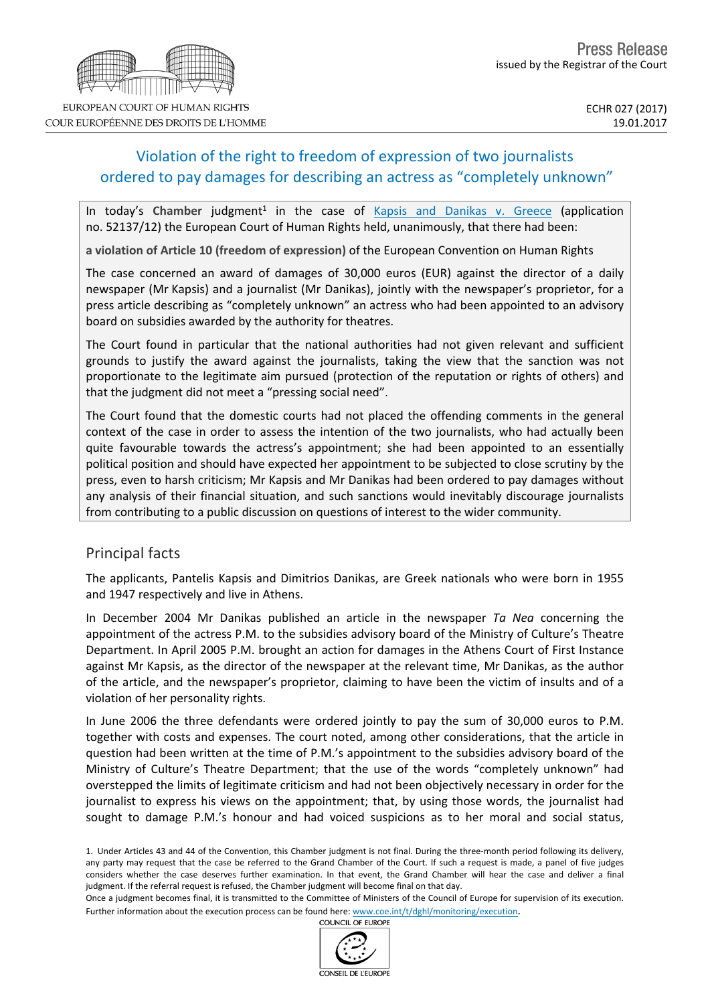# Violation of the right to freedom of expression of two journalists ordered to pay damages for describing an actress as "completely unknown"

In today's Chamber judgment<sup>1</sup> in the case of **Kapsis and [Danikas](http://hudoc.echr.coe.int/eng?i=001-170368) v. Greece** (application no. 52137/12) the European Court of Human Rights held, unanimously, that there had been:

**a violation of Article 10 (freedom of expression)** of the European Convention on Human Rights

The case concerned an award of damages of 30,000 euros (EUR) against the director of a daily newspaper (Mr Kapsis) and a journalist (Mr Danikas), jointly with the newspaper's proprietor, for a press article describing as "completely unknown" an actress who had been appointed to an advisory board on subsidies awarded by the authority for theatres.

The Court found in particular that the national authorities had not given relevant and sufficient grounds to justify the award against the journalists, taking the view that the sanction was not proportionate to the legitimate aim pursued (protection of the reputation or rights of others) and that the judgment did not meet a "pressing social need".

The Court found that the domestic courts had not placed the offending comments in the general context of the case in order to assess the intention of the two journalists, who had actually been quite favourable towards the actress's appointment; she had been appointed to an essentially political position and should have expected her appointment to be subjected to close scrutiny by the press, even to harsh criticism; Mr Kapsis and Mr Danikas had been ordered to pay damages without any analysis of their financial situation, and such sanctions would inevitably discourage journalists from contributing to a public discussion on questions of interest to the wider community.

### Principal facts

The applicants, Pantelis Kapsis and Dimitrios Danikas, are Greek nationals who were born in 1955 and 1947 respectively and live in Athens.

In December 2004 Mr Danikas published an article in the newspaper *Ta Nea* concerning the appointment of the actress P.M. to the subsidies advisory board of the Ministry of Culture's Theatre Department. In April 2005 P.M. brought an action for damages in the Athens Court of First Instance against Mr Kapsis, as the director of the newspaper at the relevant time, Mr Danikas, as the author of the article, and the newspaper's proprietor, claiming to have been the victim of insults and of a violation of her personality rights.

In June 2006 the three defendants were ordered jointly to pay the sum of 30,000 euros to P.M. together with costs and expenses. The court noted, among other considerations, that the article in question had been written at the time of P.M.'s appointment to the subsidies advisory board of the Ministry of Culture's Theatre Department; that the use of the words "completely unknown" had overstepped the limits of legitimate criticism and had not been objectively necessary in order for the journalist to express his views on the appointment; that, by using those words, the journalist had sought to damage P.M.'s honour and had voiced suspicions as to her moral and social status,



<sup>1.</sup> Under Articles 43 and 44 of the Convention, this Chamber judgment is not final. During the three-month period following its delivery, any party may request that the case be referred to the Grand Chamber of the Court. If such a request is made, a panel of five judges considers whether the case deserves further examination. In that event, the Grand Chamber will hear the case and deliver a final judgment. If the referral request is refused, the Chamber judgment will become final on that day.

Once a judgment becomes final, it is transmitted to the Committee of Ministers of the Council of Europe for supervision of its execution. Further information about the execution process can be found here: [www.coe.int/t/dghl/monitoring/execution](http://www.coe.int/t/dghl/monitoring/execution).<br>COUNCIL OF EUROPE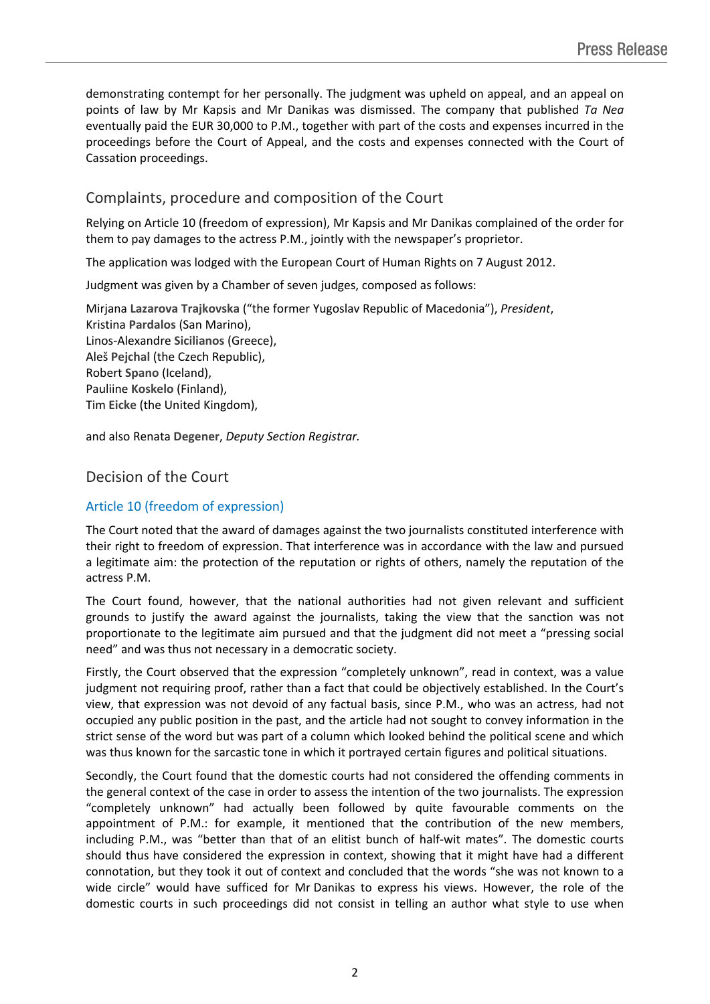demonstrating contempt for her personally. The judgment was upheld on appeal, and an appeal on points of law by Mr Kapsis and Mr Danikas was dismissed. The company that published *Ta Nea* eventually paid the EUR 30,000 to P.M., together with part of the costs and expenses incurred in the proceedings before the Court of Appeal, and the costs and expenses connected with the Court of Cassation proceedings.

## Complaints, procedure and composition of the Court

Relying on Article 10 (freedom of expression), Mr Kapsis and Mr Danikas complained of the order for them to pay damages to the actress P.M., jointly with the newspaper's proprietor.

The application was lodged with the European Court of Human Rights on 7 August 2012.

Judgment was given by a Chamber of seven judges, composed as follows:

Mirjana **Lazarova Trajkovska** ("the former Yugoslav Republic of Macedonia"), *President*, Kristina **Pardalos** (San Marino), Linos-Alexandre **Sicilianos** (Greece), Aleš **Pejchal** (the Czech Republic), Robert **Spano** (Iceland), Pauliine **Koskelo** (Finland), Tim **Eicke** (the United Kingdom),

and also Renata **Degener**, *Deputy Section Registrar.*

# Decision of the Court

### Article 10 (freedom of expression)

The Court noted that the award of damages against the two journalists constituted interference with their right to freedom of expression. That interference was in accordance with the law and pursued a legitimate aim: the protection of the reputation or rights of others, namely the reputation of the actress P.M.

The Court found, however, that the national authorities had not given relevant and sufficient grounds to justify the award against the journalists, taking the view that the sanction was not proportionate to the legitimate aim pursued and that the judgment did not meet a "pressing social need" and was thus not necessary in a democratic society.

Firstly, the Court observed that the expression "completely unknown", read in context, was a value judgment not requiring proof, rather than a fact that could be objectively established. In the Court's view, that expression was not devoid of any factual basis, since P.M., who was an actress, had not occupied any public position in the past, and the article had not sought to convey information in the strict sense of the word but was part of a column which looked behind the political scene and which was thus known for the sarcastic tone in which it portrayed certain figures and political situations.

Secondly, the Court found that the domestic courts had not considered the offending comments in the general context of the case in order to assess the intention of the two journalists. The expression "completely unknown" had actually been followed by quite favourable comments on the appointment of P.M.: for example, it mentioned that the contribution of the new members, including P.M., was "better than that of an elitist bunch of half-wit mates". The domestic courts should thus have considered the expression in context, showing that it might have had a different connotation, but they took it out of context and concluded that the words "she was not known to a wide circle" would have sufficed for Mr Danikas to express his views. However, the role of the domestic courts in such proceedings did not consist in telling an author what style to use when